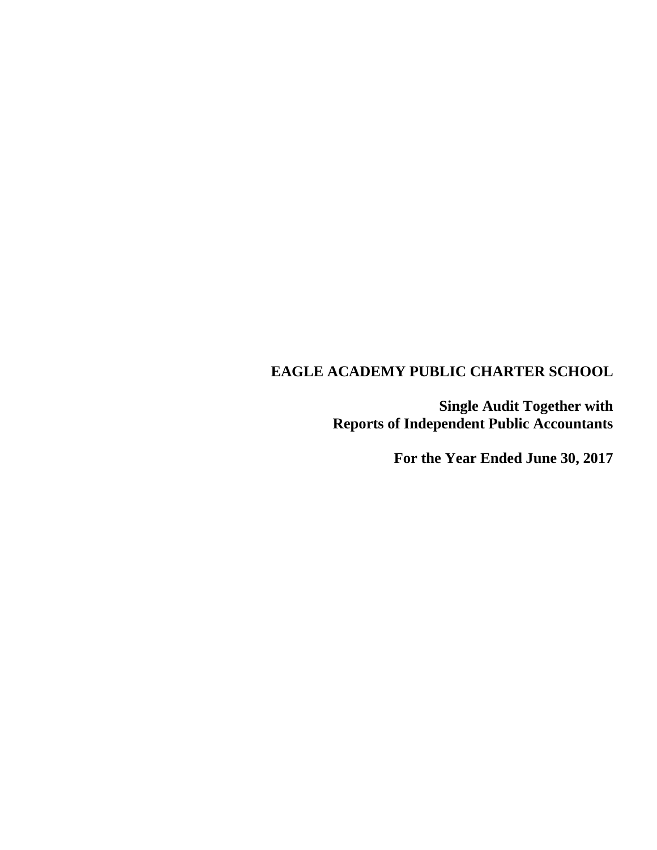**Single Audit Together with Reports of Independent Public Accountants**

**For the Year Ended June 30, 2017**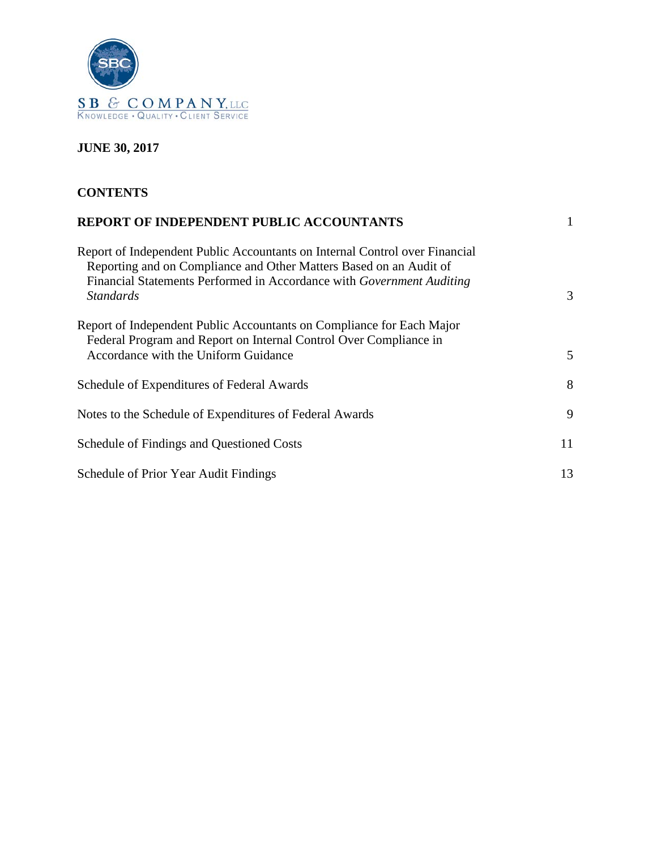

# **JUNE 30, 2017**

| <b>CONTENTS</b>                                                                                                                                                                                                                                |    |
|------------------------------------------------------------------------------------------------------------------------------------------------------------------------------------------------------------------------------------------------|----|
| <b>REPORT OF INDEPENDENT PUBLIC ACCOUNTANTS</b>                                                                                                                                                                                                | 1  |
| Report of Independent Public Accountants on Internal Control over Financial<br>Reporting and on Compliance and Other Matters Based on an Audit of<br>Financial Statements Performed in Accordance with Government Auditing<br><b>Standards</b> | 3  |
| Report of Independent Public Accountants on Compliance for Each Major<br>Federal Program and Report on Internal Control Over Compliance in<br>Accordance with the Uniform Guidance                                                             | 5  |
| Schedule of Expenditures of Federal Awards                                                                                                                                                                                                     | 8  |
| Notes to the Schedule of Expenditures of Federal Awards                                                                                                                                                                                        | 9  |
| Schedule of Findings and Questioned Costs                                                                                                                                                                                                      | 11 |
| Schedule of Prior Year Audit Findings                                                                                                                                                                                                          | 13 |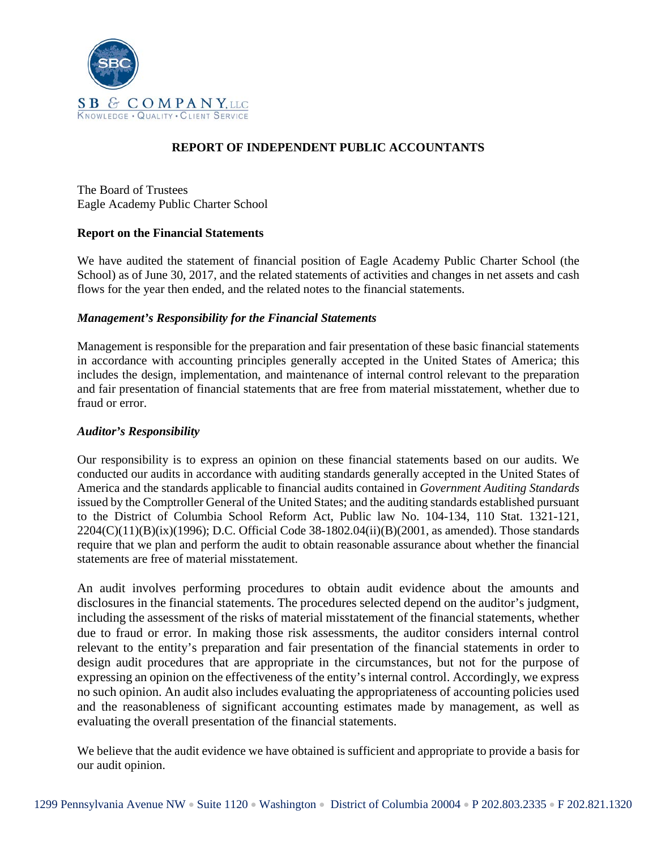

#### **REPORT OF INDEPENDENT PUBLIC ACCOUNTANTS**

The Board of Trustees Eagle Academy Public Charter School

#### **Report on the Financial Statements**

We have audited the statement of financial position of Eagle Academy Public Charter School (the School) as of June 30, 2017, and the related statements of activities and changes in net assets and cash flows for the year then ended, and the related notes to the financial statements.

#### *Management's Responsibility for the Financial Statements*

Management is responsible for the preparation and fair presentation of these basic financial statements in accordance with accounting principles generally accepted in the United States of America; this includes the design, implementation, and maintenance of internal control relevant to the preparation and fair presentation of financial statements that are free from material misstatement, whether due to fraud or error.

#### *Auditor's Responsibility*

Our responsibility is to express an opinion on these financial statements based on our audits. We conducted our audits in accordance with auditing standards generally accepted in the United States of America and the standards applicable to financial audits contained in *Government Auditing Standards* issued by the Comptroller General of the United States; and the auditing standards established pursuant to the District of Columbia School Reform Act, Public law No. 104-134, 110 Stat. 1321-121, 2204(C)(11)(B)(ix)(1996); D.C. Official Code 38-1802.04(ii)(B)(2001, as amended). Those standards require that we plan and perform the audit to obtain reasonable assurance about whether the financial statements are free of material misstatement.

An audit involves performing procedures to obtain audit evidence about the amounts and disclosures in the financial statements. The procedures selected depend on the auditor's judgment, including the assessment of the risks of material misstatement of the financial statements, whether due to fraud or error. In making those risk assessments, the auditor considers internal control relevant to the entity's preparation and fair presentation of the financial statements in order to design audit procedures that are appropriate in the circumstances, but not for the purpose of expressing an opinion on the effectiveness of the entity's internal control. Accordingly, we express no such opinion. An audit also includes evaluating the appropriateness of accounting policies used and the reasonableness of significant accounting estimates made by management, as well as evaluating the overall presentation of the financial statements.

We believe that the audit evidence we have obtained is sufficient and appropriate to provide a basis for our audit opinion.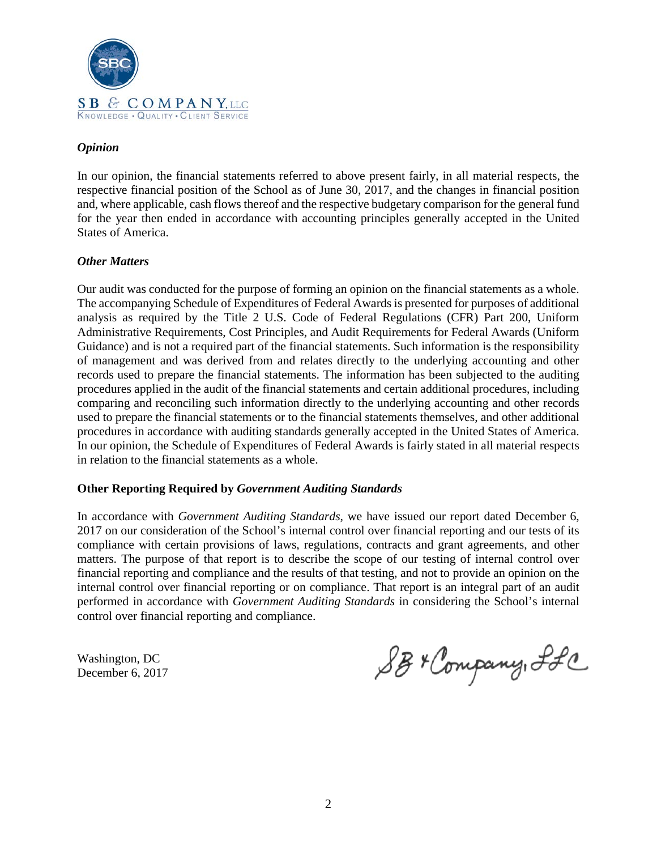

#### *Opinion*

In our opinion, the financial statements referred to above present fairly, in all material respects, the respective financial position of the School as of June 30, 2017, and the changes in financial position and, where applicable, cash flows thereof and the respective budgetary comparison for the general fund for the year then ended in accordance with accounting principles generally accepted in the United States of America.

#### *Other Matters*

Our audit was conducted for the purpose of forming an opinion on the financial statements as a whole. The accompanying Schedule of Expenditures of Federal Awards is presented for purposes of additional analysis as required by the Title 2 U.S. Code of Federal Regulations (CFR) Part 200, Uniform Administrative Requirements, Cost Principles, and Audit Requirements for Federal Awards (Uniform Guidance) and is not a required part of the financial statements. Such information is the responsibility of management and was derived from and relates directly to the underlying accounting and other records used to prepare the financial statements. The information has been subjected to the auditing procedures applied in the audit of the financial statements and certain additional procedures, including comparing and reconciling such information directly to the underlying accounting and other records used to prepare the financial statements or to the financial statements themselves, and other additional procedures in accordance with auditing standards generally accepted in the United States of America. In our opinion, the Schedule of Expenditures of Federal Awards is fairly stated in all material respects in relation to the financial statements as a whole.

#### **Other Reporting Required by** *Government Auditing Standards*

In accordance with *Government Auditing Standards*, we have issued our report dated December 6, 2017 on our consideration of the School's internal control over financial reporting and our tests of its compliance with certain provisions of laws, regulations, contracts and grant agreements, and other matters. The purpose of that report is to describe the scope of our testing of internal control over financial reporting and compliance and the results of that testing, and not to provide an opinion on the internal control over financial reporting or on compliance. That report is an integral part of an audit performed in accordance with *Government Auditing Standards* in considering the School's internal control over financial reporting and compliance.

Washington, DC December 6, 2017

SB+ Company, If C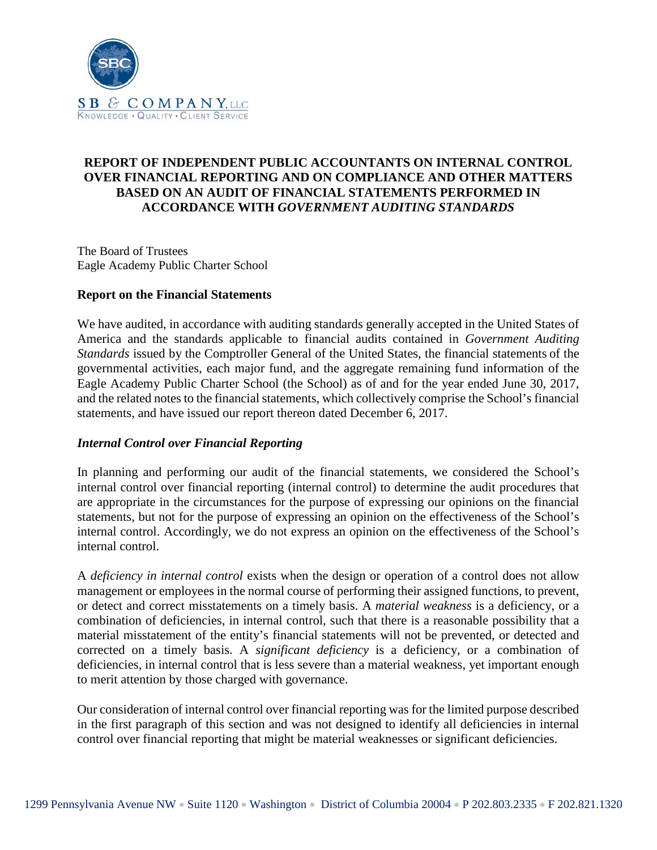

# **REPORT OF INDEPENDENT PUBLIC ACCOUNTANTS ON INTERNAL CONTROL OVER FINANCIAL REPORTING AND ON COMPLIANCE AND OTHER MATTERS BASED ON AN AUDIT OF FINANCIAL STATEMENTS PERFORMED IN ACCORDANCE WITH** *GOVERNMENT AUDITING STANDARDS*

The Board of Trustees Eagle Academy Public Charter School

#### **Report on the Financial Statements**

We have audited, in accordance with auditing standards generally accepted in the United States of America and the standards applicable to financial audits contained in *Government Auditing Standards* issued by the Comptroller General of the United States, the financial statements of the governmental activities, each major fund, and the aggregate remaining fund information of the Eagle Academy Public Charter School (the School) as of and for the year ended June 30, 2017, and the related notes to the financial statements, which collectively comprise the School's financial statements, and have issued our report thereon dated December 6, 2017.

#### *Internal Control over Financial Reporting*

In planning and performing our audit of the financial statements, we considered the School's internal control over financial reporting (internal control) to determine the audit procedures that are appropriate in the circumstances for the purpose of expressing our opinions on the financial statements, but not for the purpose of expressing an opinion on the effectiveness of the School's internal control. Accordingly, we do not express an opinion on the effectiveness of the School's internal control.

A *deficiency in internal control* exists when the design or operation of a control does not allow management or employees in the normal course of performing their assigned functions, to prevent, or detect and correct misstatements on a timely basis. A *material weakness* is a deficiency, or a combination of deficiencies, in internal control, such that there is a reasonable possibility that a material misstatement of the entity's financial statements will not be prevented, or detected and corrected on a timely basis. A *significant deficiency* is a deficiency, or a combination of deficiencies, in internal control that is less severe than a material weakness, yet important enough to merit attention by those charged with governance.

Our consideration of internal control over financial reporting was for the limited purpose described in the first paragraph of this section and was not designed to identify all deficiencies in internal control over financial reporting that might be material weaknesses or significant deficiencies.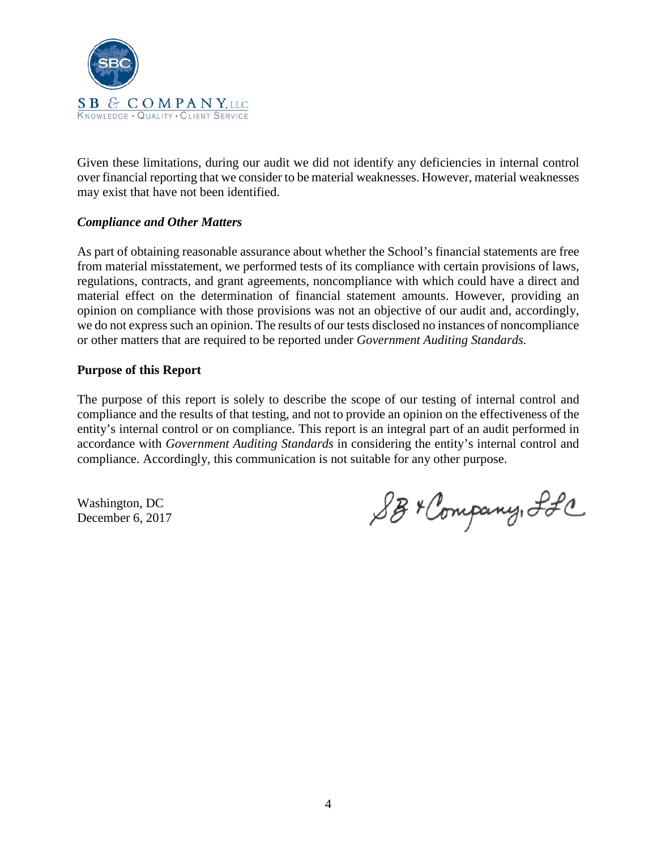

Given these limitations, during our audit we did not identify any deficiencies in internal control over financial reporting that we consider to be material weaknesses. However, material weaknesses may exist that have not been identified.

#### *Compliance and Other Matters*

As part of obtaining reasonable assurance about whether the School's financial statements are free from material misstatement, we performed tests of its compliance with certain provisions of laws, regulations, contracts, and grant agreements, noncompliance with which could have a direct and material effect on the determination of financial statement amounts. However, providing an opinion on compliance with those provisions was not an objective of our audit and, accordingly, we do not express such an opinion. The results of our tests disclosed no instances of noncompliance or other matters that are required to be reported under *Government Auditing Standards.*

#### **Purpose of this Report**

The purpose of this report is solely to describe the scope of our testing of internal control and compliance and the results of that testing, and not to provide an opinion on the effectiveness of the entity's internal control or on compliance. This report is an integral part of an audit performed in accordance with *Government Auditing Standards* in considering the entity's internal control and compliance. Accordingly, this communication is not suitable for any other purpose.

Washington, DC December 6, 2017

SB+ Company, Ifc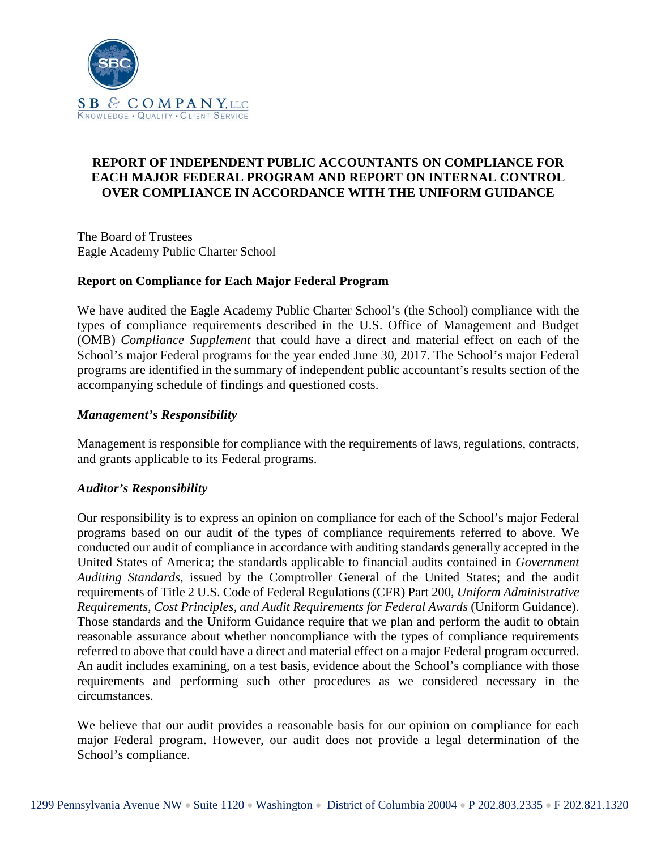

## **REPORT OF INDEPENDENT PUBLIC ACCOUNTANTS ON COMPLIANCE FOR EACH MAJOR FEDERAL PROGRAM AND REPORT ON INTERNAL CONTROL OVER COMPLIANCE IN ACCORDANCE WITH THE UNIFORM GUIDANCE**

The Board of Trustees Eagle Academy Public Charter School

#### **Report on Compliance for Each Major Federal Program**

We have audited the Eagle Academy Public Charter School's (the School) compliance with the types of compliance requirements described in the U.S. Office of Management and Budget (OMB) *Compliance Supplement* that could have a direct and material effect on each of the School's major Federal programs for the year ended June 30, 2017. The School's major Federal programs are identified in the summary of independent public accountant's results section of the accompanying schedule of findings and questioned costs.

#### *Management's Responsibility*

Management is responsible for compliance with the requirements of laws, regulations, contracts, and grants applicable to its Federal programs.

#### *Auditor's Responsibility*

Our responsibility is to express an opinion on compliance for each of the School's major Federal programs based on our audit of the types of compliance requirements referred to above. We conducted our audit of compliance in accordance with auditing standards generally accepted in the United States of America; the standards applicable to financial audits contained in *Government Auditing Standards*, issued by the Comptroller General of the United States; and the audit requirements of Title 2 U.S. Code of Federal Regulations (CFR) Part 200, *Uniform Administrative Requirements, Cost Principles, and Audit Requirements for Federal Awards* (Uniform Guidance). Those standards and the Uniform Guidance require that we plan and perform the audit to obtain reasonable assurance about whether noncompliance with the types of compliance requirements referred to above that could have a direct and material effect on a major Federal program occurred. An audit includes examining, on a test basis, evidence about the School's compliance with those requirements and performing such other procedures as we considered necessary in the circumstances.

We believe that our audit provides a reasonable basis for our opinion on compliance for each major Federal program. However, our audit does not provide a legal determination of the School's compliance.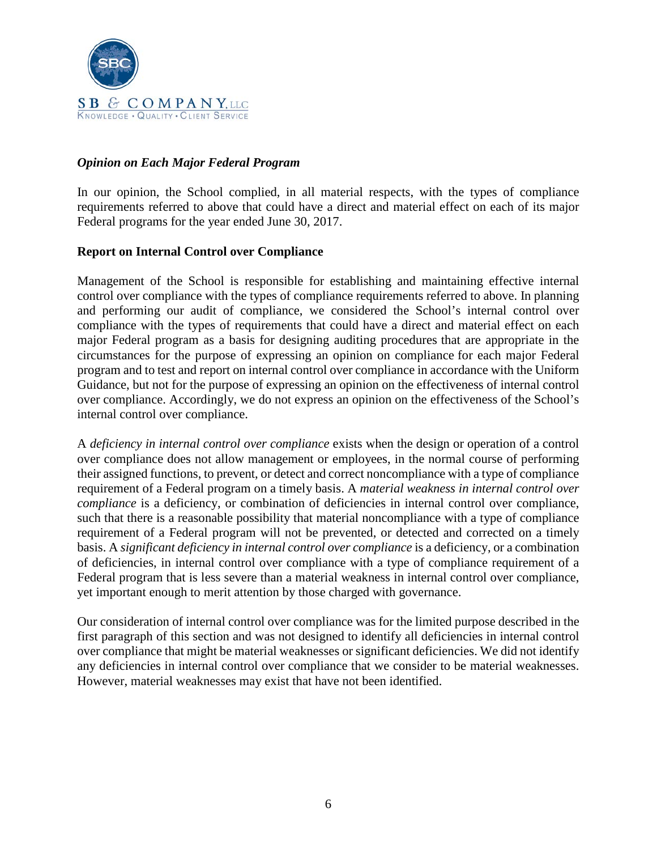

### *Opinion on Each Major Federal Program*

In our opinion, the School complied, in all material respects, with the types of compliance requirements referred to above that could have a direct and material effect on each of its major Federal programs for the year ended June 30, 2017.

#### **Report on Internal Control over Compliance**

Management of the School is responsible for establishing and maintaining effective internal control over compliance with the types of compliance requirements referred to above. In planning and performing our audit of compliance, we considered the School's internal control over compliance with the types of requirements that could have a direct and material effect on each major Federal program as a basis for designing auditing procedures that are appropriate in the circumstances for the purpose of expressing an opinion on compliance for each major Federal program and to test and report on internal control over compliance in accordance with the Uniform Guidance, but not for the purpose of expressing an opinion on the effectiveness of internal control over compliance. Accordingly, we do not express an opinion on the effectiveness of the School's internal control over compliance.

A *deficiency in internal control over compliance* exists when the design or operation of a control over compliance does not allow management or employees, in the normal course of performing their assigned functions, to prevent, or detect and correct noncompliance with a type of compliance requirement of a Federal program on a timely basis. A *material weakness in internal control over compliance* is a deficiency, or combination of deficiencies in internal control over compliance, such that there is a reasonable possibility that material noncompliance with a type of compliance requirement of a Federal program will not be prevented, or detected and corrected on a timely basis. A *significant deficiency in internal control over compliance* is a deficiency, or a combination of deficiencies, in internal control over compliance with a type of compliance requirement of a Federal program that is less severe than a material weakness in internal control over compliance, yet important enough to merit attention by those charged with governance.

Our consideration of internal control over compliance was for the limited purpose described in the first paragraph of this section and was not designed to identify all deficiencies in internal control over compliance that might be material weaknesses or significant deficiencies. We did not identify any deficiencies in internal control over compliance that we consider to be material weaknesses. However, material weaknesses may exist that have not been identified.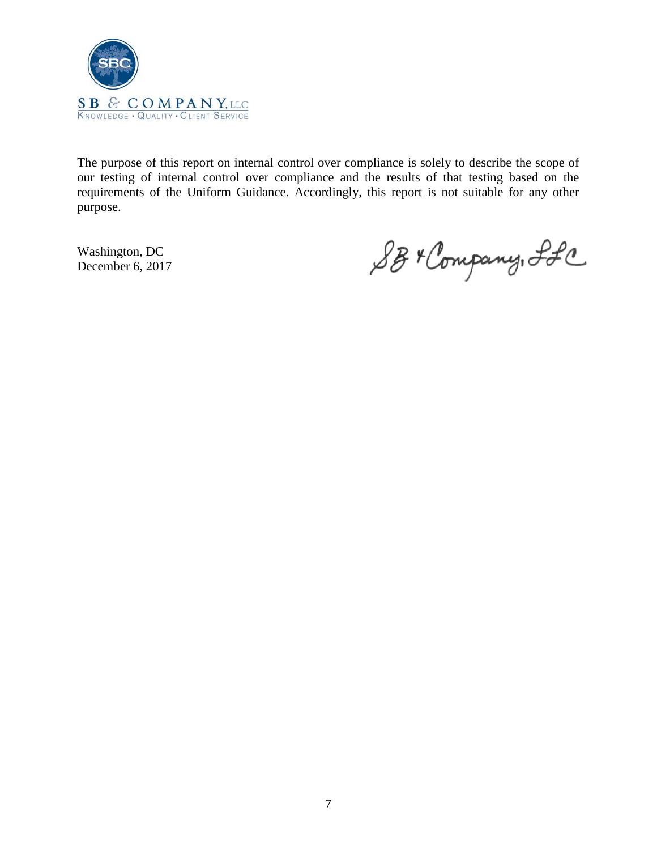

The purpose of this report on internal control over compliance is solely to describe the scope of our testing of internal control over compliance and the results of that testing based on the requirements of the Uniform Guidance. Accordingly, this report is not suitable for any other purpose.

Washington, DC December 6, 2017

SB+ Company, ILC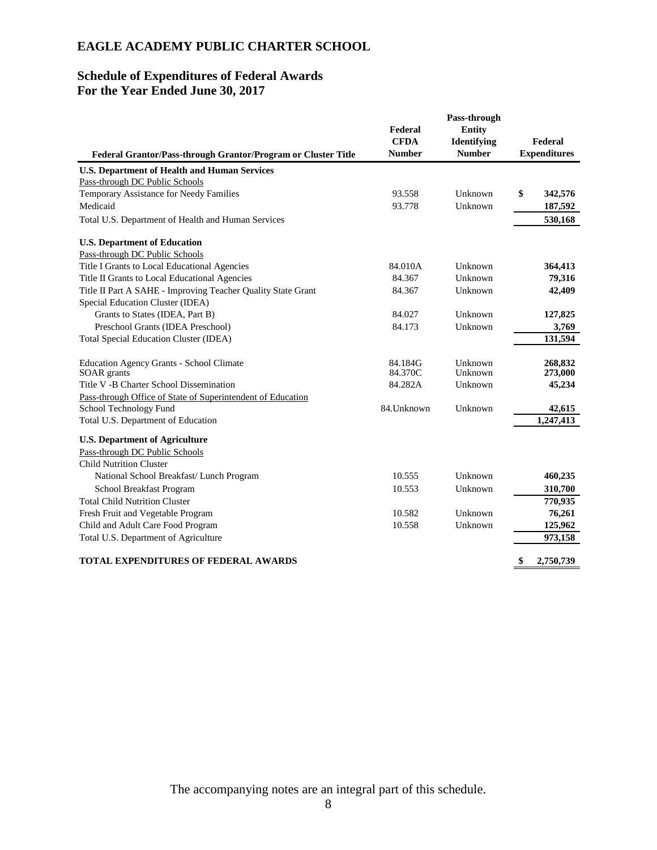## **Schedule of Expenditures of Federal Awards For the Year Ended June 30, 2017**

|                                                               |                              | Pass-through                        |                                |
|---------------------------------------------------------------|------------------------------|-------------------------------------|--------------------------------|
|                                                               | Federal                      | Entity                              |                                |
|                                                               | <b>CFDA</b><br><b>Number</b> | <b>Identifying</b><br><b>Number</b> | Federal<br><b>Expenditures</b> |
| Federal Grantor/Pass-through Grantor/Program or Cluster Title |                              |                                     |                                |
| <b>U.S. Department of Health and Human Services</b>           |                              |                                     |                                |
| Pass-through DC Public Schools                                |                              |                                     |                                |
| Temporary Assistance for Needy Families                       | 93.558                       | Unknown                             | \$<br>342,576                  |
| Medicaid                                                      | 93.778                       | Unknown                             | 187,592                        |
| Total U.S. Department of Health and Human Services            |                              |                                     | 530,168                        |
| <b>U.S. Department of Education</b>                           |                              |                                     |                                |
| Pass-through DC Public Schools                                |                              |                                     |                                |
| Title I Grants to Local Educational Agencies                  | 84.010A                      | Unknown                             | 364,413                        |
| Title II Grants to Local Educational Agencies                 | 84.367                       | Unknown                             | 79,316                         |
| Title II Part A SAHE - Improving Teacher Quality State Grant  | 84.367                       | Unknown                             | 42,409                         |
| Special Education Cluster (IDEA)                              |                              |                                     |                                |
| Grants to States (IDEA, Part B)                               | 84.027                       | Unknown                             | 127,825                        |
| Preschool Grants (IDEA Preschool)                             | 84.173                       | Unknown                             | 3,769                          |
| <b>Total Special Education Cluster (IDEA)</b>                 |                              |                                     | 131,594                        |
| <b>Education Agency Grants - School Climate</b>               | 84.184G                      | Unknown                             | 268,832                        |
| SOAR grants                                                   | 84.370C                      | Unknown                             | 273,000                        |
| Title V -B Charter School Dissemination                       | 84.282A                      | Unknown                             | 45,234                         |
| Pass-through Office of State of Superintendent of Education   |                              |                                     |                                |
| School Technology Fund                                        | 84.Unknown                   | Unknown                             | 42,615                         |
| Total U.S. Department of Education                            |                              |                                     | 1,247,413                      |
| <b>U.S. Department of Agriculture</b>                         |                              |                                     |                                |
| Pass-through DC Public Schools                                |                              |                                     |                                |
| <b>Child Nutrition Cluster</b>                                |                              |                                     |                                |
| National School Breakfast/ Lunch Program                      | 10.555                       | Unknown                             | 460,235                        |
| School Breakfast Program                                      | 10.553                       | Unknown                             | 310,700                        |
| <b>Total Child Nutrition Cluster</b>                          |                              |                                     | 770,935                        |
| Fresh Fruit and Vegetable Program                             | 10.582                       | Unknown                             | 76,261                         |
| Child and Adult Care Food Program                             | 10.558                       | Unknown                             | 125,962                        |
| Total U.S. Department of Agriculture                          |                              |                                     | 973,158                        |
| <b>TOTAL EXPENDITURES OF FEDERAL AWARDS</b>                   |                              |                                     | \$<br>2,750,739                |

The accompanying notes are an integral part of this schedule.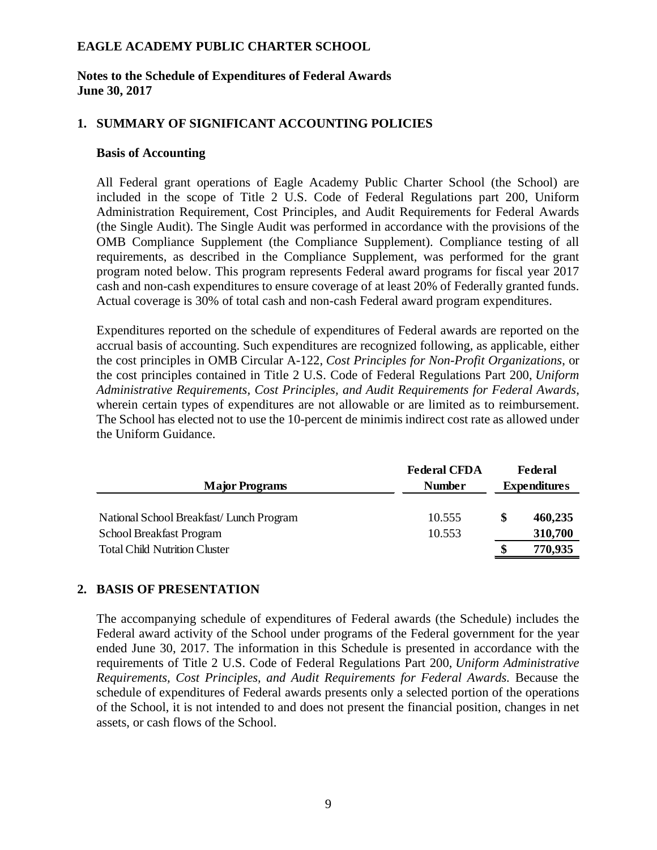#### **Notes to the Schedule of Expenditures of Federal Awards June 30, 2017**

#### **1. SUMMARY OF SIGNIFICANT ACCOUNTING POLICIES**

#### **Basis of Accounting**

All Federal grant operations of Eagle Academy Public Charter School (the School) are included in the scope of Title 2 U.S. Code of Federal Regulations part 200, Uniform Administration Requirement, Cost Principles, and Audit Requirements for Federal Awards (the Single Audit). The Single Audit was performed in accordance with the provisions of the OMB Compliance Supplement (the Compliance Supplement). Compliance testing of all requirements, as described in the Compliance Supplement, was performed for the grant program noted below. This program represents Federal award programs for fiscal year 2017 cash and non-cash expenditures to ensure coverage of at least 20% of Federally granted funds. Actual coverage is 30% of total cash and non-cash Federal award program expenditures.

Expenditures reported on the schedule of expenditures of Federal awards are reported on the accrual basis of accounting. Such expenditures are recognized following, as applicable, either the cost principles in OMB Circular A-122, *Cost Principles for Non-Profit Organizations*, or the cost principles contained in Title 2 U.S. Code of Federal Regulations Part 200, *Uniform Administrative Requirements, Cost Principles, and Audit Requirements for Federal Awards*, wherein certain types of expenditures are not allowable or are limited as to reimbursement. The School has elected not to use the 10-percent de minimis indirect cost rate as allowed under the Uniform Guidance.

|                                         | <b>Federal CFDA</b> |                     | <b>Federal</b> |
|-----------------------------------------|---------------------|---------------------|----------------|
| <b>Major Programs</b>                   | <b>Number</b>       | <b>Expenditures</b> |                |
| National School Breakfast/Lunch Program | 10.555              |                     | 460,235        |
| School Breakfast Program                | 10.553              |                     | 310,700        |
| <b>Total Child Nutrition Cluster</b>    |                     | S                   | 770,935        |

#### **2. BASIS OF PRESENTATION**

The accompanying schedule of expenditures of Federal awards (the Schedule) includes the Federal award activity of the School under programs of the Federal government for the year ended June 30, 2017. The information in this Schedule is presented in accordance with the requirements of Title 2 U.S. Code of Federal Regulations Part 200, *Uniform Administrative Requirements, Cost Principles, and Audit Requirements for Federal Awards.* Because the schedule of expenditures of Federal awards presents only a selected portion of the operations of the School, it is not intended to and does not present the financial position, changes in net assets, or cash flows of the School.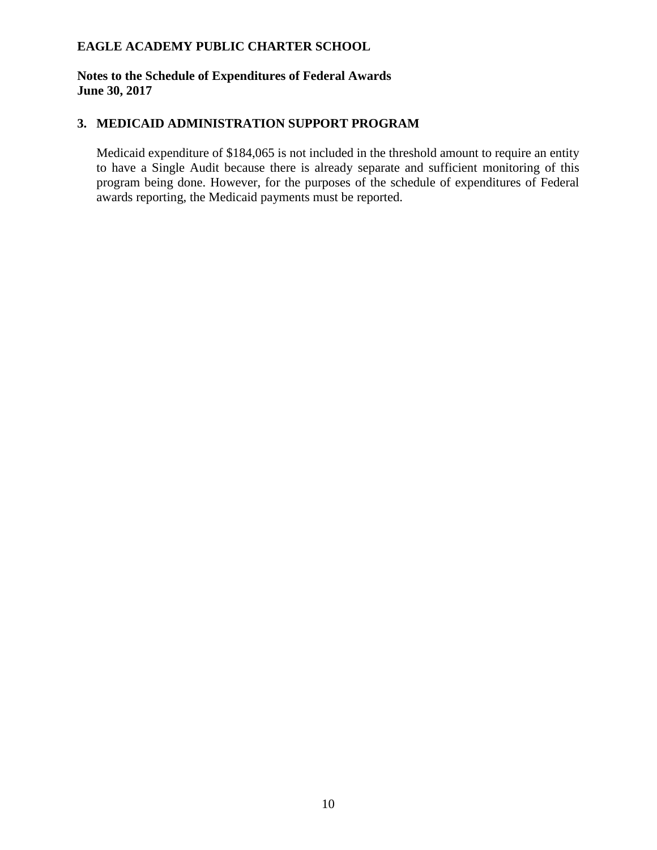#### **Notes to the Schedule of Expenditures of Federal Awards June 30, 2017**

### **3. MEDICAID ADMINISTRATION SUPPORT PROGRAM**

Medicaid expenditure of \$184,065 is not included in the threshold amount to require an entity to have a Single Audit because there is already separate and sufficient monitoring of this program being done. However, for the purposes of the schedule of expenditures of Federal awards reporting, the Medicaid payments must be reported.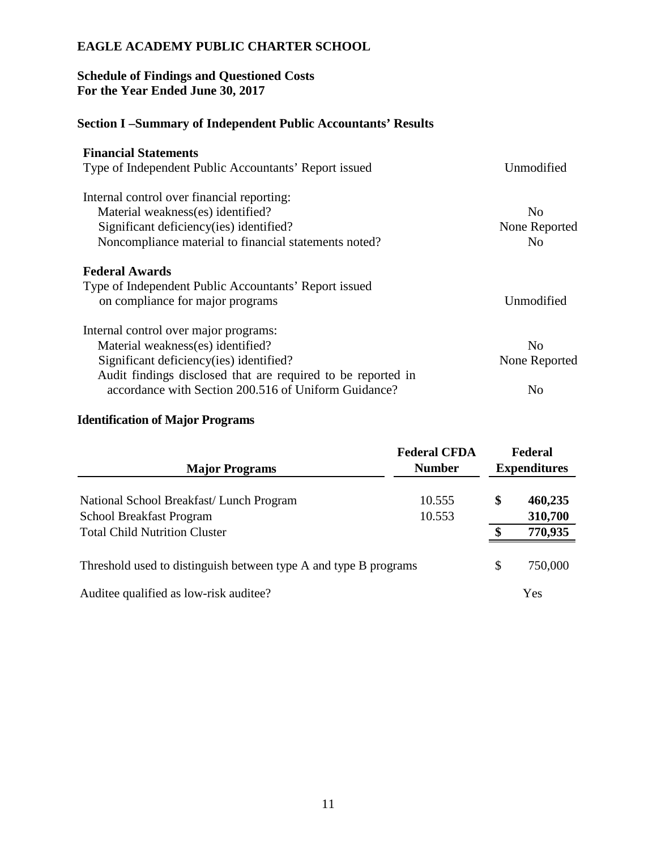#### **Schedule of Findings and Questioned Costs For the Year Ended June 30, 2017**

#### **Section I –Summary of Independent Public Accountants' Results**

# **Financial Statements** Type of Independent Public Accountants' Report issued Unmodified Internal control over financial reporting: Material weakness(es) identified? No<br>Significant deficiency(ies) identified? None Reported Significant deficiency(ies) identified? Noncompliance material to financial statements noted? No **Federal Awards** Type of Independent Public Accountants' Report issued on compliance for major programs Unmodified

| $\frac{1}{2}$                                                |               |
|--------------------------------------------------------------|---------------|
| Internal control over major programs:                        |               |
| Material weakness(es) identified?                            | No            |
| Significant deficiency (ies) identified?                     | None Reported |
| Audit findings disclosed that are required to be reported in |               |
| accordance with Section 200.516 of Uniform Guidance?         | No            |

#### **Identification of Major Programs**

| <b>Major Programs</b>                                            | <b>Federal CFDA</b><br><b>Number</b> | Federal<br><b>Expenditures</b> |
|------------------------------------------------------------------|--------------------------------------|--------------------------------|
| National School Breakfast/Lunch Program                          | 10.555                               | \$<br>460,235                  |
| School Breakfast Program                                         | 10.553                               | 310,700                        |
| <b>Total Child Nutrition Cluster</b>                             |                                      | 770,935                        |
| Threshold used to distinguish between type A and type B programs |                                      | \$<br>750,000                  |
| Auditee qualified as low-risk auditee?                           |                                      | Yes                            |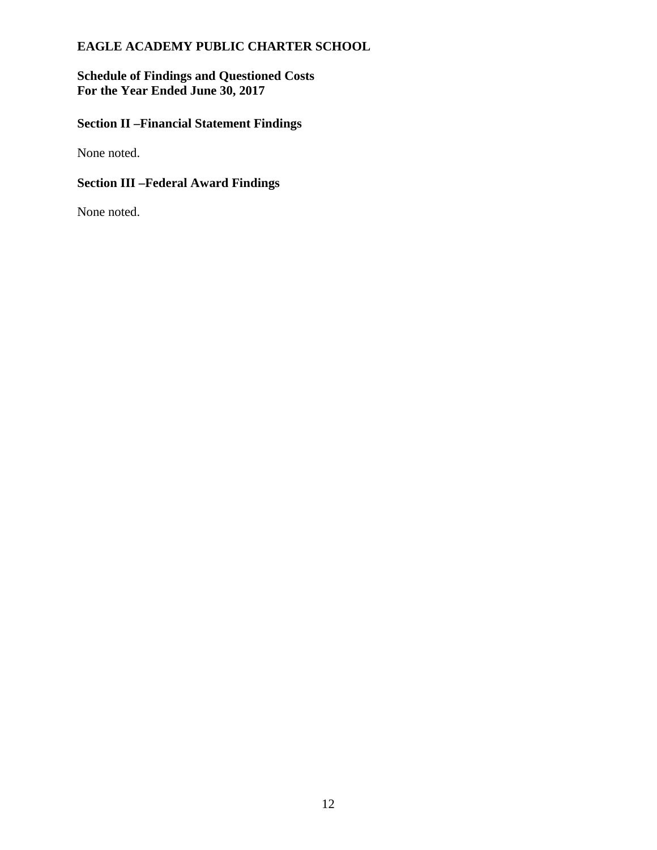## **Schedule of Findings and Questioned Costs For the Year Ended June 30, 2017**

# **Section II –Financial Statement Findings**

None noted.

# **Section III –Federal Award Findings**

None noted.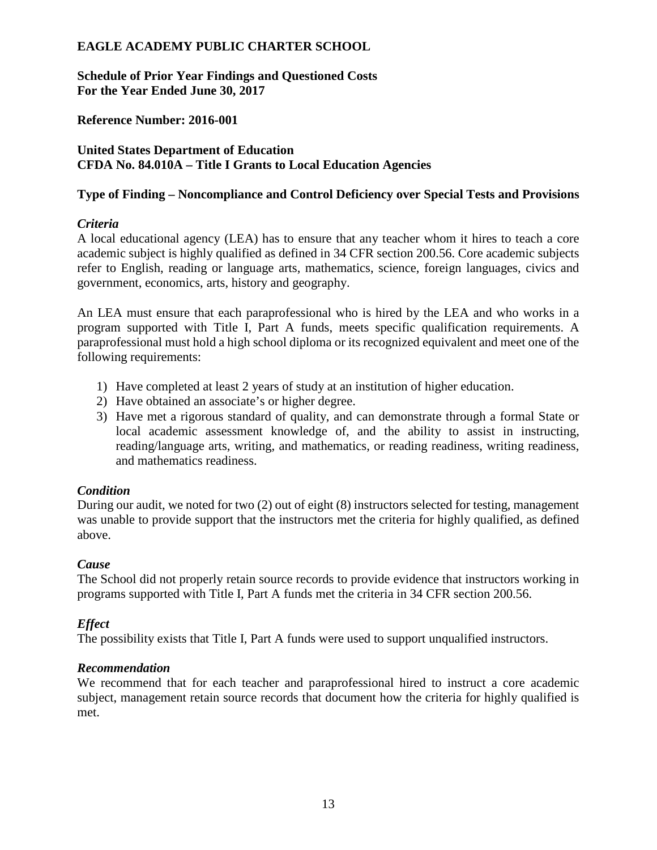**Schedule of Prior Year Findings and Questioned Costs For the Year Ended June 30, 2017** 

### **Reference Number: 2016-001**

**United States Department of Education CFDA No. 84.010A – Title I Grants to Local Education Agencies**

### **Type of Finding – Noncompliance and Control Deficiency over Special Tests and Provisions**

#### *Criteria*

A local educational agency (LEA) has to ensure that any teacher whom it hires to teach a core academic subject is highly qualified as defined in 34 CFR section 200.56. Core academic subjects refer to English, reading or language arts, mathematics, science, foreign languages, civics and government, economics, arts, history and geography.

An LEA must ensure that each paraprofessional who is hired by the LEA and who works in a program supported with Title I, Part A funds, meets specific qualification requirements. A paraprofessional must hold a high school diploma or its recognized equivalent and meet one of the following requirements:

- 1) Have completed at least 2 years of study at an institution of higher education.
- 2) Have obtained an associate's or higher degree.
- 3) Have met a rigorous standard of quality, and can demonstrate through a formal State or local academic assessment knowledge of, and the ability to assist in instructing, reading/language arts, writing, and mathematics, or reading readiness, writing readiness, and mathematics readiness.

#### *Condition*

During our audit, we noted for two (2) out of eight (8) instructors selected for testing, management was unable to provide support that the instructors met the criteria for highly qualified, as defined above.

## *Cause*

The School did not properly retain source records to provide evidence that instructors working in programs supported with Title I, Part A funds met the criteria in 34 CFR section 200.56.

## *Effect*

The possibility exists that Title I, Part A funds were used to support unqualified instructors.

#### *Recommendation*

We recommend that for each teacher and paraprofessional hired to instruct a core academic subject, management retain source records that document how the criteria for highly qualified is met.